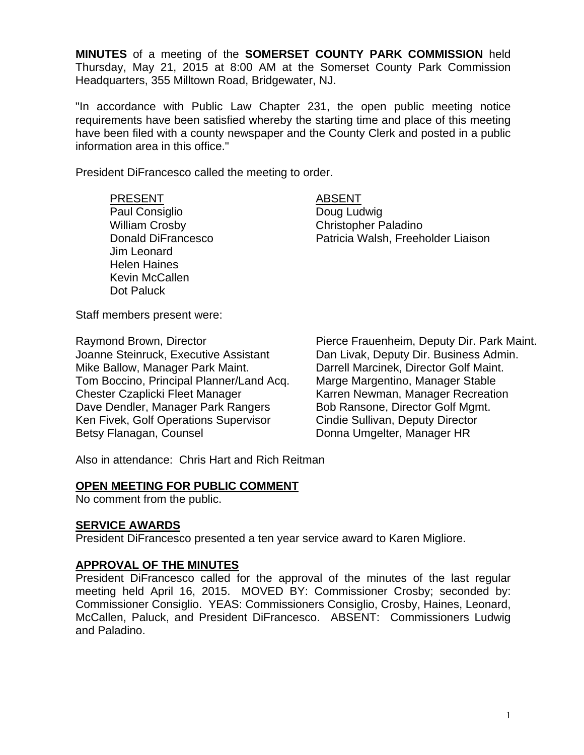**MINUTES** of a meeting of the **SOMERSET COUNTY PARK COMMISSION** held Thursday, May 21, 2015 at 8:00 AM at the Somerset County Park Commission Headquarters, 355 Milltown Road, Bridgewater, NJ.

"In accordance with Public Law Chapter 231, the open public meeting notice requirements have been satisfied whereby the starting time and place of this meeting have been filed with a county newspaper and the County Clerk and posted in a public information area in this office."

President DiFrancesco called the meeting to order.

#### PRESENT ABSENT

Paul Consiglio Doug Ludwig Jim Leonard Helen Haines Kevin McCallen Dot Paluck

Christopher Paladino Donald DiFrancesco **Patricia Walsh, Freeholder Liaison** 

Staff members present were:

Joanne Steinruck, Executive Assistant Dan Livak, Deputy Dir. Business Admin. Mike Ballow, Manager Park Maint. Darrell Marcinek, Director Golf Maint. Tom Boccino, Principal Planner/Land Acq. Marge Margentino, Manager Stable Chester Czaplicki Fleet Manager Karren Newman, Manager Recreation Dave Dendler, Manager Park Rangers Bob Ransone, Director Golf Mgmt. Ken Fivek, Golf Operations Supervisor Cindie Sullivan, Deputy Director Betsy Flanagan, Counsel **Example 20** Donna Umgelter, Manager HR

Raymond Brown, Director **Pierce Frauenheim, Deputy Dir. Park Maint.** 

Also in attendance: Chris Hart and Rich Reitman

# **OPEN MEETING FOR PUBLIC COMMENT**

No comment from the public.

# **SERVICE AWARDS**

President DiFrancesco presented a ten year service award to Karen Migliore.

# **APPROVAL OF THE MINUTES**

President DiFrancesco called for the approval of the minutes of the last regular meeting held April 16, 2015. MOVED BY: Commissioner Crosby; seconded by: Commissioner Consiglio. YEAS: Commissioners Consiglio, Crosby, Haines, Leonard, McCallen, Paluck, and President DiFrancesco. ABSENT: Commissioners Ludwig and Paladino.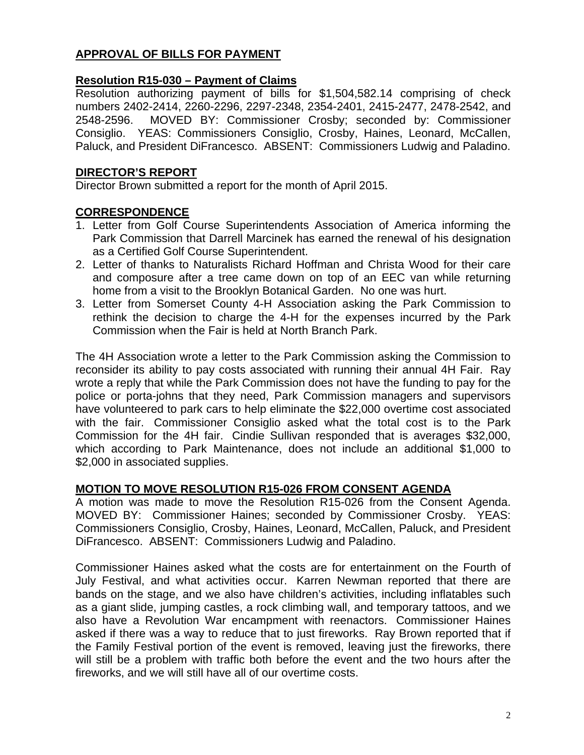# **APPROVAL OF BILLS FOR PAYMENT**

# **Resolution R15-030 – Payment of Claims**

Resolution authorizing payment of bills for \$1,504,582.14 comprising of check numbers 2402-2414, 2260-2296, 2297-2348, 2354-2401, 2415-2477, 2478-2542, and 2548-2596. MOVED BY: Commissioner Crosby; seconded by: Commissioner Consiglio. YEAS: Commissioners Consiglio, Crosby, Haines, Leonard, McCallen, Paluck, and President DiFrancesco. ABSENT: Commissioners Ludwig and Paladino.

# **DIRECTOR'S REPORT**

Director Brown submitted a report for the month of April 2015.

# **CORRESPONDENCE**

- 1. Letter from Golf Course Superintendents Association of America informing the Park Commission that Darrell Marcinek has earned the renewal of his designation as a Certified Golf Course Superintendent.
- 2. Letter of thanks to Naturalists Richard Hoffman and Christa Wood for their care and composure after a tree came down on top of an EEC van while returning home from a visit to the Brooklyn Botanical Garden. No one was hurt.
- 3. Letter from Somerset County 4-H Association asking the Park Commission to rethink the decision to charge the 4-H for the expenses incurred by the Park Commission when the Fair is held at North Branch Park.

The 4H Association wrote a letter to the Park Commission asking the Commission to reconsider its ability to pay costs associated with running their annual 4H Fair. Ray wrote a reply that while the Park Commission does not have the funding to pay for the police or porta-johns that they need, Park Commission managers and supervisors have volunteered to park cars to help eliminate the \$22,000 overtime cost associated with the fair. Commissioner Consiglio asked what the total cost is to the Park Commission for the 4H fair. Cindie Sullivan responded that is averages \$32,000, which according to Park Maintenance, does not include an additional \$1,000 to \$2,000 in associated supplies.

# **MOTION TO MOVE RESOLUTION R15-026 FROM CONSENT AGENDA**

A motion was made to move the Resolution R15-026 from the Consent Agenda. MOVED BY: Commissioner Haines; seconded by Commissioner Crosby. YEAS: Commissioners Consiglio, Crosby, Haines, Leonard, McCallen, Paluck, and President DiFrancesco. ABSENT: Commissioners Ludwig and Paladino.

Commissioner Haines asked what the costs are for entertainment on the Fourth of July Festival, and what activities occur. Karren Newman reported that there are bands on the stage, and we also have children's activities, including inflatables such as a giant slide, jumping castles, a rock climbing wall, and temporary tattoos, and we also have a Revolution War encampment with reenactors. Commissioner Haines asked if there was a way to reduce that to just fireworks. Ray Brown reported that if the Family Festival portion of the event is removed, leaving just the fireworks, there will still be a problem with traffic both before the event and the two hours after the fireworks, and we will still have all of our overtime costs.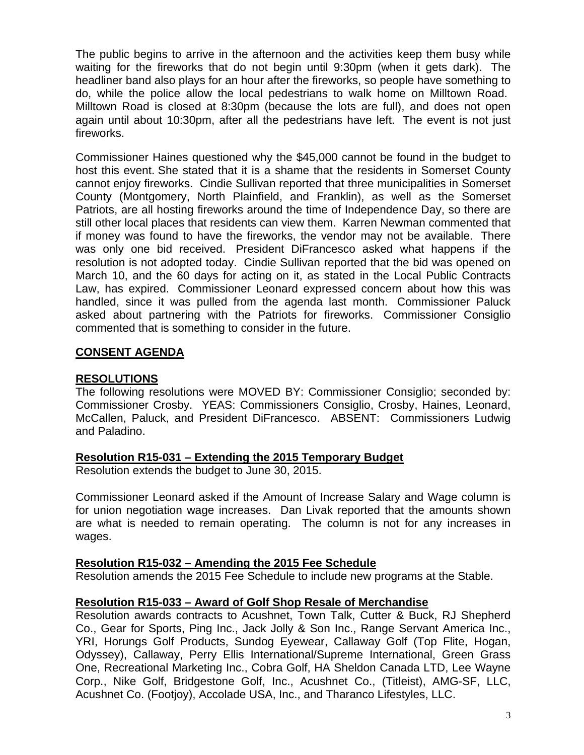The public begins to arrive in the afternoon and the activities keep them busy while waiting for the fireworks that do not begin until 9:30pm (when it gets dark). The headliner band also plays for an hour after the fireworks, so people have something to do, while the police allow the local pedestrians to walk home on Milltown Road. Milltown Road is closed at 8:30pm (because the lots are full), and does not open again until about 10:30pm, after all the pedestrians have left. The event is not just fireworks.

Commissioner Haines questioned why the \$45,000 cannot be found in the budget to host this event. She stated that it is a shame that the residents in Somerset County cannot enjoy fireworks. Cindie Sullivan reported that three municipalities in Somerset County (Montgomery, North Plainfield, and Franklin), as well as the Somerset Patriots, are all hosting fireworks around the time of Independence Day, so there are still other local places that residents can view them. Karren Newman commented that if money was found to have the fireworks, the vendor may not be available. There was only one bid received. President DiFrancesco asked what happens if the resolution is not adopted today. Cindie Sullivan reported that the bid was opened on March 10, and the 60 days for acting on it, as stated in the Local Public Contracts Law, has expired. Commissioner Leonard expressed concern about how this was handled, since it was pulled from the agenda last month. Commissioner Paluck asked about partnering with the Patriots for fireworks. Commissioner Consiglio commented that is something to consider in the future.

# **CONSENT AGENDA**

### **RESOLUTIONS**

The following resolutions were MOVED BY: Commissioner Consiglio; seconded by: Commissioner Crosby. YEAS: Commissioners Consiglio, Crosby, Haines, Leonard, McCallen, Paluck, and President DiFrancesco. ABSENT: Commissioners Ludwig and Paladino.

# **Resolution R15-031 – Extending the 2015 Temporary Budget**

Resolution extends the budget to June 30, 2015.

Commissioner Leonard asked if the Amount of Increase Salary and Wage column is for union negotiation wage increases. Dan Livak reported that the amounts shown are what is needed to remain operating. The column is not for any increases in wages.

# **Resolution R15-032 – Amending the 2015 Fee Schedule**

Resolution amends the 2015 Fee Schedule to include new programs at the Stable.

# **Resolution R15-033 – Award of Golf Shop Resale of Merchandise**

Resolution awards contracts to Acushnet, Town Talk, Cutter & Buck, RJ Shepherd Co., Gear for Sports, Ping Inc., Jack Jolly & Son Inc., Range Servant America Inc., YRI, Horungs Golf Products, Sundog Eyewear, Callaway Golf (Top Flite, Hogan, Odyssey), Callaway, Perry Ellis International/Supreme International, Green Grass One, Recreational Marketing Inc., Cobra Golf, HA Sheldon Canada LTD, Lee Wayne Corp., Nike Golf, Bridgestone Golf, Inc., Acushnet Co., (Titleist), AMG-SF, LLC, Acushnet Co. (Footjoy), Accolade USA, Inc., and Tharanco Lifestyles, LLC.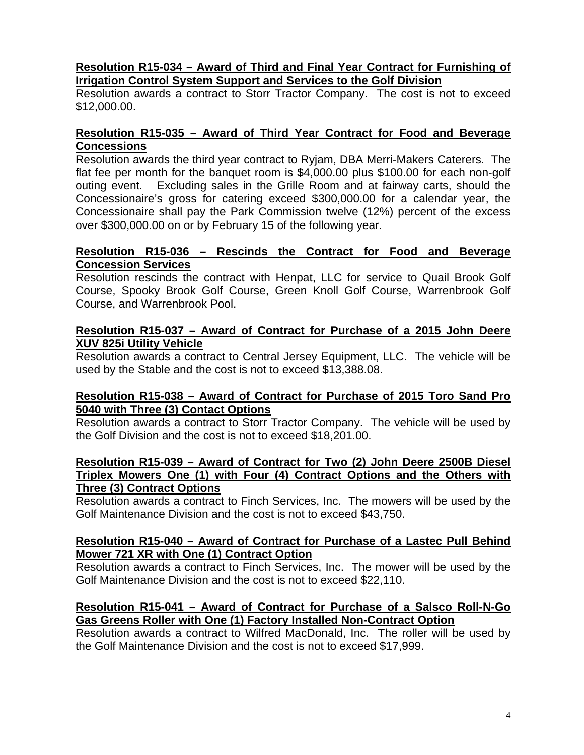# **Resolution R15-034 – Award of Third and Final Year Contract for Furnishing of Irrigation Control System Support and Services to the Golf Division**

Resolution awards a contract to Storr Tractor Company. The cost is not to exceed \$12,000.00.

### **Resolution R15-035 – Award of Third Year Contract for Food and Beverage Concessions**

Resolution awards the third year contract to Ryjam, DBA Merri-Makers Caterers. The flat fee per month for the banquet room is \$4,000.00 plus \$100.00 for each non-golf outing event. Excluding sales in the Grille Room and at fairway carts, should the Concessionaire's gross for catering exceed \$300,000.00 for a calendar year, the Concessionaire shall pay the Park Commission twelve (12%) percent of the excess over \$300,000.00 on or by February 15 of the following year.

# **Resolution R15-036 – Rescinds the Contract for Food and Beverage Concession Services**

Resolution rescinds the contract with Henpat, LLC for service to Quail Brook Golf Course, Spooky Brook Golf Course, Green Knoll Golf Course, Warrenbrook Golf Course, and Warrenbrook Pool.

# **Resolution R15-037 – Award of Contract for Purchase of a 2015 John Deere XUV 825i Utility Vehicle**

Resolution awards a contract to Central Jersey Equipment, LLC. The vehicle will be used by the Stable and the cost is not to exceed \$13,388.08.

# **Resolution R15-038 – Award of Contract for Purchase of 2015 Toro Sand Pro 5040 with Three (3) Contact Options**

Resolution awards a contract to Storr Tractor Company. The vehicle will be used by the Golf Division and the cost is not to exceed \$18,201.00.

### **Resolution R15-039 – Award of Contract for Two (2) John Deere 2500B Diesel Triplex Mowers One (1) with Four (4) Contract Options and the Others with Three (3) Contract Options**

Resolution awards a contract to Finch Services, Inc. The mowers will be used by the Golf Maintenance Division and the cost is not to exceed \$43,750.

# **Resolution R15-040 – Award of Contract for Purchase of a Lastec Pull Behind Mower 721 XR with One (1) Contract Option**

Resolution awards a contract to Finch Services, Inc. The mower will be used by the Golf Maintenance Division and the cost is not to exceed \$22,110.

# **Resolution R15-041 – Award of Contract for Purchase of a Salsco Roll-N-Go Gas Greens Roller with One (1) Factory Installed Non-Contract Option**

Resolution awards a contract to Wilfred MacDonald, Inc. The roller will be used by the Golf Maintenance Division and the cost is not to exceed \$17,999.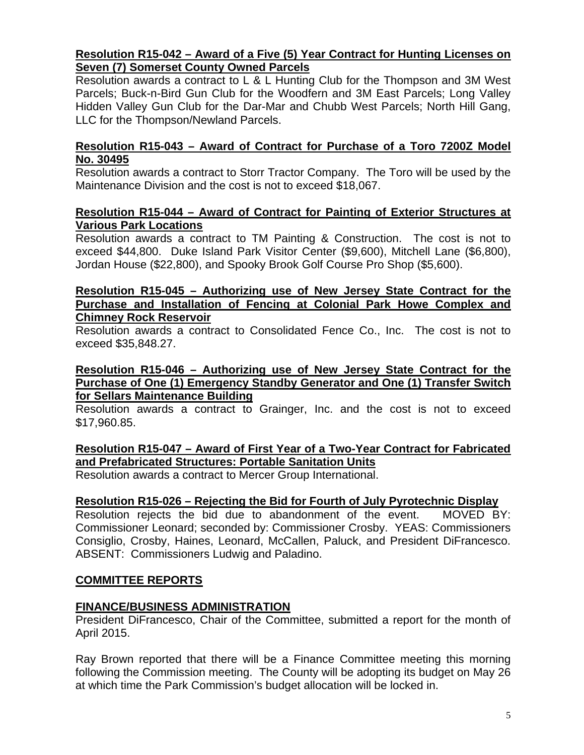# **Resolution R15-042 – Award of a Five (5) Year Contract for Hunting Licenses on Seven (7) Somerset County Owned Parcels**

Resolution awards a contract to L & L Hunting Club for the Thompson and 3M West Parcels; Buck-n-Bird Gun Club for the Woodfern and 3M East Parcels; Long Valley Hidden Valley Gun Club for the Dar-Mar and Chubb West Parcels; North Hill Gang, LLC for the Thompson/Newland Parcels.

### **Resolution R15-043 – Award of Contract for Purchase of a Toro 7200Z Model No. 30495**

Resolution awards a contract to Storr Tractor Company. The Toro will be used by the Maintenance Division and the cost is not to exceed \$18,067.

#### **Resolution R15-044 – Award of Contract for Painting of Exterior Structures at Various Park Locations**

Resolution awards a contract to TM Painting & Construction. The cost is not to exceed \$44,800. Duke Island Park Visitor Center (\$9,600), Mitchell Lane (\$6,800), Jordan House (\$22,800), and Spooky Brook Golf Course Pro Shop (\$5,600).

### **Resolution R15-045 – Authorizing use of New Jersey State Contract for the Purchase and Installation of Fencing at Colonial Park Howe Complex and Chimney Rock Reservoir**

Resolution awards a contract to Consolidated Fence Co., Inc. The cost is not to exceed \$35,848.27.

### **Resolution R15-046 – Authorizing use of New Jersey State Contract for the Purchase of One (1) Emergency Standby Generator and One (1) Transfer Switch for Sellars Maintenance Building**

Resolution awards a contract to Grainger, Inc. and the cost is not to exceed \$17,960.85.

# **Resolution R15-047 – Award of First Year of a Two-Year Contract for Fabricated and Prefabricated Structures: Portable Sanitation Units**

Resolution awards a contract to Mercer Group International.

# **Resolution R15-026 – Rejecting the Bid for Fourth of July Pyrotechnic Display**

Resolution rejects the bid due to abandonment of the event. MOVED BY: Commissioner Leonard; seconded by: Commissioner Crosby. YEAS: Commissioners Consiglio, Crosby, Haines, Leonard, McCallen, Paluck, and President DiFrancesco. ABSENT: Commissioners Ludwig and Paladino.

# **COMMITTEE REPORTS**

# **FINANCE/BUSINESS ADMINISTRATION**

President DiFrancesco, Chair of the Committee, submitted a report for the month of April 2015.

Ray Brown reported that there will be a Finance Committee meeting this morning following the Commission meeting. The County will be adopting its budget on May 26 at which time the Park Commission's budget allocation will be locked in.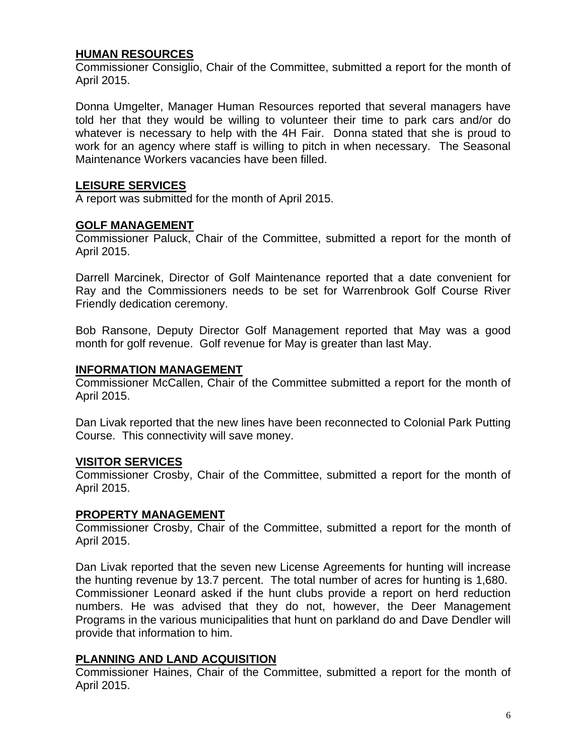# **HUMAN RESOURCES**

Commissioner Consiglio, Chair of the Committee, submitted a report for the month of April 2015.

Donna Umgelter, Manager Human Resources reported that several managers have told her that they would be willing to volunteer their time to park cars and/or do whatever is necessary to help with the 4H Fair. Donna stated that she is proud to work for an agency where staff is willing to pitch in when necessary. The Seasonal Maintenance Workers vacancies have been filled.

# **LEISURE SERVICES**

A report was submitted for the month of April 2015.

#### **GOLF MANAGEMENT**

Commissioner Paluck, Chair of the Committee, submitted a report for the month of April 2015.

Darrell Marcinek, Director of Golf Maintenance reported that a date convenient for Ray and the Commissioners needs to be set for Warrenbrook Golf Course River Friendly dedication ceremony.

Bob Ransone, Deputy Director Golf Management reported that May was a good month for golf revenue. Golf revenue for May is greater than last May.

#### **INFORMATION MANAGEMENT**

Commissioner McCallen, Chair of the Committee submitted a report for the month of April 2015.

Dan Livak reported that the new lines have been reconnected to Colonial Park Putting Course. This connectivity will save money.

# **VISITOR SERVICES**

Commissioner Crosby, Chair of the Committee, submitted a report for the month of April 2015.

# **PROPERTY MANAGEMENT**

Commissioner Crosby, Chair of the Committee, submitted a report for the month of April 2015.

Dan Livak reported that the seven new License Agreements for hunting will increase the hunting revenue by 13.7 percent. The total number of acres for hunting is 1,680. Commissioner Leonard asked if the hunt clubs provide a report on herd reduction numbers. He was advised that they do not, however, the Deer Management Programs in the various municipalities that hunt on parkland do and Dave Dendler will provide that information to him.

# **PLANNING AND LAND ACQUISITION**

Commissioner Haines, Chair of the Committee, submitted a report for the month of April 2015.